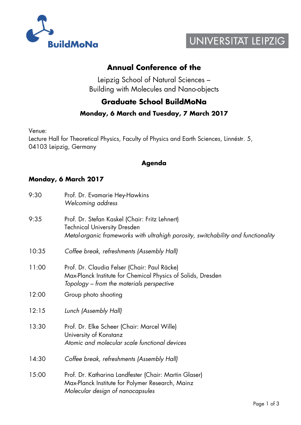



## **Annual Conference of the**

Leipzig School of Natural Sciences – Building with Molecules and Nano-objects

# **Graduate School BuildMoNa**

#### **Monday, 6 March and Tuesday, 7 March 2017**

Venue:

Lecture Hall for Theoretical Physics, Faculty of Physics and Earth Sciences, Linnéstr. 5, 04103 Leipzig, Germany

#### **Agenda**

#### **Monday, 6 March 2017**

| 9:30  | Prof. Dr. Evamarie Hey-Hawkins<br>Welcoming address                                                                                                                        |
|-------|----------------------------------------------------------------------------------------------------------------------------------------------------------------------------|
| 9:35  | Prof. Dr. Stefan Kaskel (Chair: Fritz Lehnert)<br><b>Technical University Dresden</b><br>Metal-organic frameworks with ultrahigh porosity, switchability and functionality |
| 10:35 | Coffee break, refreshments (Assembly Hall)                                                                                                                                 |
| 11:00 | Prof. Dr. Claudia Felser (Chair: Paul Räcke)<br>Max-Planck Institute for Chemical Physics of Solids, Dresden<br>Topology – from the materials perspective                  |
| 12:00 | Group photo shooting                                                                                                                                                       |
| 12:15 | Lunch (Assembly Hall)                                                                                                                                                      |
| 13:30 | Prof. Dr. Elke Scheer (Chair: Marcel Wille)<br>University of Konstanz<br>Atomic and molecular scale functional devices                                                     |
| 14:30 | Coffee break, refreshments (Assembly Hall)                                                                                                                                 |
| 15:00 | Prof. Dr. Katharina Landfester (Chair: Martin Glaser)<br>Max-Planck Institute for Polymer Research, Mainz<br>Molecular design of nanocapsules                              |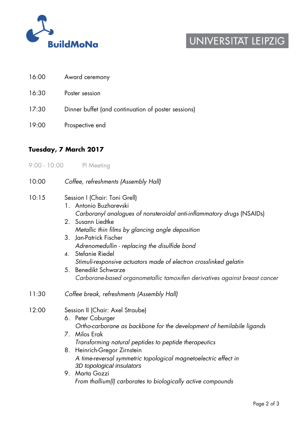

# UNIVERSITAT LEIPZIG

- 16:00 Award ceremony
- 16:30 Poster session
- 17:30 Dinner buffet (and continuation of poster sessions)
- 19:00 Prospective end

### **Tuesday, 7 March 2017**

9:00 - 10:00 PI Meeting

| 10:00 | Coffee, refreshments (Assembly Hall)                                                                                                                                                                                                                                                                                                                                                                                                                                                                           |
|-------|----------------------------------------------------------------------------------------------------------------------------------------------------------------------------------------------------------------------------------------------------------------------------------------------------------------------------------------------------------------------------------------------------------------------------------------------------------------------------------------------------------------|
| 10:15 | Session I (Chair: Toni Grell)<br>1. Antonio Buzharevski<br>Carboranyl analogues of nonsteroidal anti-inflammatory drugs (NSAIDs)<br>2. Susann Liedtke<br>Metallic thin films by glancing angle deposition<br>Jan-Patrick Fischer<br>3 <sub>1</sub><br>Adrenomedullin - replacing the disulfide bond<br>4. Stefanie Riedel<br>Stimuli-responsive actuators made of electron crosslinked gelatin<br><b>Benedikt Schwarze</b><br>5.<br>Carborane-based organometallic tamoxifen derivatives against breast cancer |
| 11:30 | Coffee break, refreshments (Assembly Hall)                                                                                                                                                                                                                                                                                                                                                                                                                                                                     |
| 12:00 | Session II (Chair: Axel Straube)<br>6. Peter Coburger<br>Ortho-carborane as backbone for the development of hemilabile ligands<br>7. Milos Erak<br>Transforming natural peptides to peptide therapeutics<br>8. Heinrich-Gregor Zirnstein<br>A time-reversal symmetric topological magnetoelectric effect in<br>3D topological insulators<br>9. Marta Gozzi<br>From thallium(I) carborates to biologically active compounds                                                                                     |